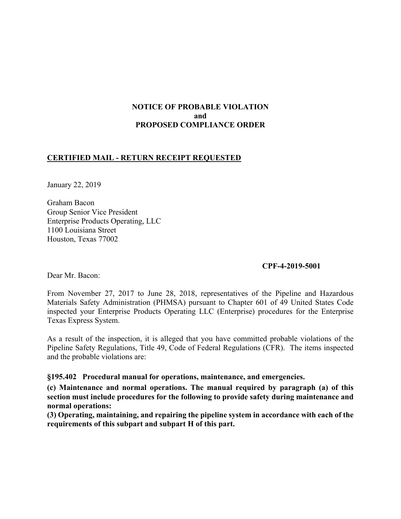# **NOTICE OF PROBABLE VIOLATION and PROPOSED COMPLIANCE ORDER**

## **CERTIFIED MAIL - RETURN RECEIPT REQUESTED**

January 22, 2019

Graham Bacon Group Senior Vice President Enterprise Products Operating, LLC 1100 Louisiana Street Houston, Texas 77002

### **CPF-4-2019-5001**

Dear Mr. Bacon:

 Materials Safety Administration (PHMSA) pursuant to Chapter 601 of 49 United States Code From November 27, 2017 to June 28, 2018, representatives of the Pipeline and Hazardous inspected your Enterprise Products Operating LLC (Enterprise) procedures for the Enterprise Texas Express System.

 Pipeline Safety Regulations, Title 49, Code of Federal Regulations (CFR). The items inspected As a result of the inspection, it is alleged that you have committed probable violations of the and the probable violations are:

### **§195.402 Procedural manual for operations, maintenance, and emergencies.**

**(c) Maintenance and normal operations. The manual required by paragraph (a) of this section must include procedures for the following to provide safety during maintenance and normal operations:** 

**(3) Operating, maintaining, and repairing the pipeline system in accordance with each of the requirements of this subpart and subpart H of this part.**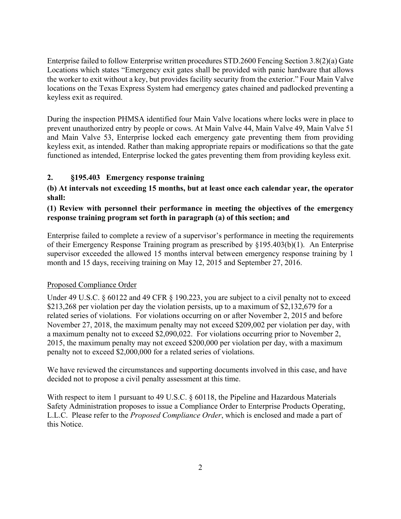Enterprise failed to follow Enterprise written procedures STD.2600 Fencing Section 3.8(2)(a) Gate Locations which states "Emergency exit gates shall be provided with panic hardware that allows the worker to exit without a key, but provides facility security from the exterior." Four Main Valve locations on the Texas Express System had emergency gates chained and padlocked preventing a keyless exit as required.

During the inspection PHMSA identified four Main Valve locations where locks were in place to prevent unauthorized entry by people or cows. At Main Valve 44, Main Valve 49, Main Valve 51 and Main Valve 53, Enterprise locked each emergency gate preventing them from providing keyless exit, as intended. Rather than making appropriate repairs or modifications so that the gate functioned as intended, Enterprise locked the gates preventing them from providing keyless exit.

# **2. §195.403 Emergency response training**

# **(b) At intervals not exceeding 15 months, but at least once each calendar year, the operator shall:**

# **(1) Review with personnel their performance in meeting the objectives of the emergency response training program set forth in paragraph (a) of this section; and**

 Enterprise failed to complete a review of a supervisor's performance in meeting the requirements supervisor exceeded the allowed 15 months interval between emergency response training by 1 of their Emergency Response Training program as prescribed by §195.403(b)(1). An Enterprise month and 15 days, receiving training on May 12, 2015 and September 27, 2016.

### Proposed Compliance Order

Under 49 U.S.C. § 60122 and 49 CFR § 190.223, you are subject to a civil penalty not to exceed \$213,268 per violation per day the violation persists, up to a maximum of \$2,132,679 for a related series of violations. For violations occurring on or after November 2, 2015 and before November 27, 2018, the maximum penalty may not exceed \$209,002 per violation per day, with a maximum penalty not to exceed \$2,090,022. For violations occurring prior to November 2, 2015, the maximum penalty may not exceed \$200,000 per violation per day, with a maximum penalty not to exceed \$2,000,000 for a related series of violations.

We have reviewed the circumstances and supporting documents involved in this case, and have decided not to propose a civil penalty assessment at this time.

With respect to item 1 pursuant to 49 U.S.C.  $\frac{1}{2}$  60118, the Pipeline and Hazardous Materials Safety Administration proposes to issue a Compliance Order to Enterprise Products Operating, L.L.C. Please refer to the *Proposed Compliance Order*, which is enclosed and made a part of this Notice.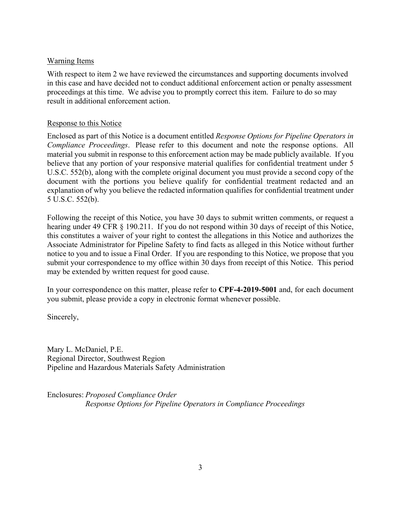### Warning Items

With respect to item 2 we have reviewed the circumstances and supporting documents involved in this case and have decided not to conduct additional enforcement action or penalty assessment proceedings at this time. We advise you to promptly correct this item. Failure to do so may result in additional enforcement action.

### Response to this Notice

 *Compliance Proceedings*. Please refer to this document and note the response options. All Enclosed as part of this Notice is a document entitled *Response Options for Pipeline Operators in*  material you submit in response to this enforcement action may be made publicly available. If you believe that any portion of your responsive material qualifies for confidential treatment under 5 U.S.C. 552(b), along with the complete original document you must provide a second copy of the document with the portions you believe qualify for confidential treatment redacted and an explanation of why you believe the redacted information qualifies for confidential treatment under 5 U.S.C. 552(b).

 submit your correspondence to my office within 30 days from receipt of this Notice. This period Following the receipt of this Notice, you have 30 days to submit written comments, or request a hearing under 49 CFR § 190.211. If you do not respond within 30 days of receipt of this Notice, this constitutes a waiver of your right to contest the allegations in this Notice and authorizes the Associate Administrator for Pipeline Safety to find facts as alleged in this Notice without further notice to you and to issue a Final Order. If you are responding to this Notice, we propose that you may be extended by written request for good cause.

In your correspondence on this matter, please refer to **CPF-4-2019-5001** and, for each document you submit, please provide a copy in electronic format whenever possible.

Sincerely,

Mary L. McDaniel, P.E. Regional Director, Southwest Region Pipeline and Hazardous Materials Safety Administration

Enclosures: *Proposed Compliance Order Response Options for Pipeline Operators in Compliance Proceedings*